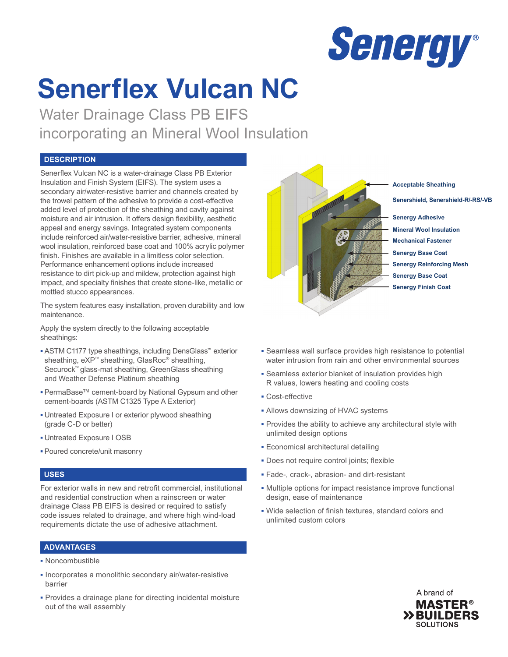

# **Senerflex Vulcan NC**

Water Drainage Class PB EIFS incorporating an Mineral Wool Insulation

# **DESCRIPTION**

Senerflex Vulcan NC is a water-drainage Class PB Exterior Insulation and Finish System (EIFS). The system uses a secondary air/water-resistive barrier and channels created by the trowel pattern of the adhesive to provide a cost-effective added level of protection of the sheathing and cavity against moisture and air intrusion. It offers design flexibility, aesthetic appeal and energy savings. Integrated system components include reinforced air/water-resistive barrier, adhesive, mineral wool insulation, reinforced base coat and 100% acrylic polymer finish. Finishes are available in a limitless color selection. Performance enhancement options include increased resistance to dirt pick-up and mildew, protection against high impact, and specialty finishes that create stone-like, metallic or mottled stucco appearances.

The system features easy installation, proven durability and low maintenance.

Apply the system directly to the following acceptable sheathings:

- **▪** ASTM C1177 type sheathings, including DensGlass™ exterior sheathing, eXP™ sheathing, GlasRoc® sheathing, Securock™ glass-mat sheathing, GreenGlass sheathing and Weather Defense Platinum sheathing
- **▪** PermaBase™ cement-board by National Gypsum and other cement-boards (ASTM C1325 Type A Exterior)
- **▪** Untreated Exposure I or exterior plywood sheathing (grade C-D or better)
- **▪** Untreated Exposure I OSB
- **▪** Poured concrete/unit masonry

# **USES**

For exterior walls in new and retrofit commercial, institutional and residential construction when a rainscreen or water drainage Class PB EIFS is desired or required to satisfy code issues related to drainage, and where high wind-load requirements dictate the use of adhesive attachment.

# **ADVANTAGES**

- **▪** Noncombustible
- **▪** Incorporates a monolithic secondary air/water-resistive barrier
- **▪** Provides a drainage plane for directing incidental moisture out of the wall assembly



**Mineral Wool Insulation Senergy Adhesive Senershield, Senershield-R/-RS/-VB Mechanical Fastener Senergy Base Coat Senergy Reinforcing Mesh Senergy Base Coat Senergy Finish Coat**

- **▪** Seamless wall surface provides high resistance to potential water intrusion from rain and other environmental sources
- **▪** Seamless exterior blanket of insulation provides high R values, lowers heating and cooling costs
- **▪** Cost-effective
- **▪** Allows downsizing of HVAC systems
- **▪** Provides the ability to achieve any architectural style with unlimited design options
- **▪** Economical architectural detailing
- **▪** Does not require control joints; flexible
- **▪** Fade-, crack-, abrasion- and dirt-resistant
- **▪** Multiple options for impact resistance improve functional design, ease of maintenance
- **▪** Wide selection of finish textures, standard colors and unlimited custom colors

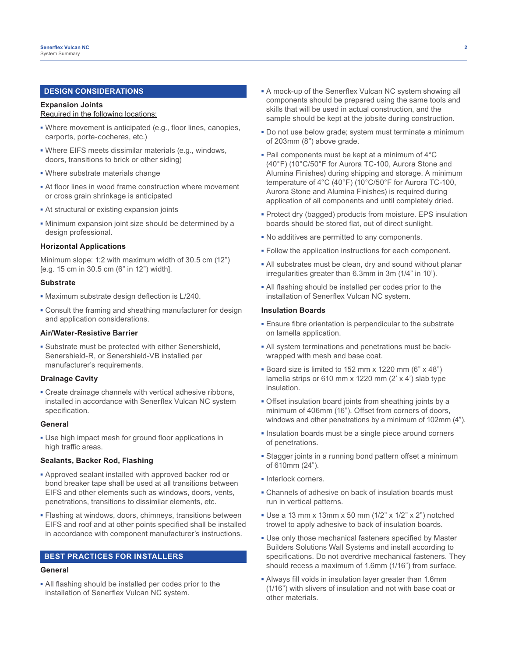# **DESIGN CONSIDERATIONS**

#### **Expansion Joints** Required in the following locations:

- **▪** Where movement is anticipated (e.g., floor lines, canopies, carports, porte-cocheres, etc.)
- **▪** Where EIFS meets dissimilar materials (e.g., windows, doors, transitions to brick or other siding)
- **▪** Where substrate materials change
- **▪** At floor lines in wood frame construction where movement or cross grain shrinkage is anticipated
- **▪** At structural or existing expansion joints
- **▪** Minimum expansion joint size should be determined by a design professional.

#### **Horizontal Applications**

Minimum slope: 1:2 with maximum width of 30.5 cm (12") [e.g. 15 cm in 30.5 cm (6" in 12") width].

#### **Substrate**

- **▪** Maximum substrate design deflection is L/240.
- **▪** Consult the framing and sheathing manufacturer for design and application considerations.

#### **Air/Water-Resistive Barrier**

**▪** Substrate must be protected with either Senershield, Senershield-R, or Senershield-VB installed per manufacturer's requirements.

## **Drainage Cavity**

**▪** Create drainage channels with vertical adhesive ribbons, installed in accordance with Senerflex Vulcan NC system specification.

#### **General**

**▪** Use high impact mesh for ground floor applications in high traffic areas.

## **Sealants, Backer Rod, Flashing**

- **▪** Approved sealant installed with approved backer rod or bond breaker tape shall be used at all transitions between EIFS and other elements such as windows, doors, vents, penetrations, transitions to dissimilar elements, etc.
- **▪** Flashing at windows, doors, chimneys, transitions between EIFS and roof and at other points specified shall be installed in accordance with component manufacturer's instructions.

# **BEST PRACTICES FOR INSTALLERS**

# **General**

**▪** All flashing should be installed per codes prior to the installation of Senerflex Vulcan NC system.

- **▪** A mock-up of the Senerflex Vulcan NC system showing all components should be prepared using the same tools and skills that will be used in actual construction, and the sample should be kept at the jobsite during construction.
- **▪** Do not use below grade; system must terminate a minimum of 203mm (8") above grade.
- **▪** Pail components must be kept at a minimum of 4°C (40°F) (10°C/50°F for Aurora TC-100, Aurora Stone and Alumina Finishes) during shipping and storage. A minimum temperature of 4°C (40°F) (10°C/50°F for Aurora TC-100, Aurora Stone and Alumina Finishes) is required during application of all components and until completely dried.
- **▪** Protect dry (bagged) products from moisture. EPS insulation boards should be stored flat, out of direct sunlight.
- **▪** No additives are permitted to any components.
- **▪** Follow the application instructions for each component.
- **▪** All substrates must be clean, dry and sound without planar irregularities greater than 6.3mm in 3m (1/4" in 10').
- **▪** All flashing should be installed per codes prior to the installation of Senerflex Vulcan NC system.

#### **Insulation Boards**

- **▪** Ensure fibre orientation is perpendicular to the substrate on lamella application.
- **▪** All system terminations and penetrations must be backwrapped with mesh and base coat.
- **▪** Board size is limited to 152 mm x 1220 mm (6" x 48") lamella strips or 610 mm x 1220 mm (2' x 4') slab type insulation.
- **▪** Offset insulation board joints from sheathing joints by a minimum of 406mm (16"). Offset from corners of doors, windows and other penetrations by a minimum of 102mm (4").
- **▪** Insulation boards must be a single piece around corners of penetrations.
- **▪** Stagger joints in a running bond pattern offset a minimum of 610mm (24").
- **▪** Interlock corners.
- **▪** Channels of adhesive on back of insulation boards must run in vertical patterns.
- **▪** Use a 13 mm x 13mm x 50 mm (1/2" x 1/2" x 2") notched trowel to apply adhesive to back of insulation boards.
- **▪** Use only those mechanical fasteners specified by Master Builders Solutions Wall Systems and install according to specifications. Do not overdrive mechanical fasteners. They should recess a maximum of 1.6mm (1/16") from surface.
- **▪** Always fill voids in insulation layer greater than 1.6mm (1/16") with slivers of insulation and not with base coat or other materials.